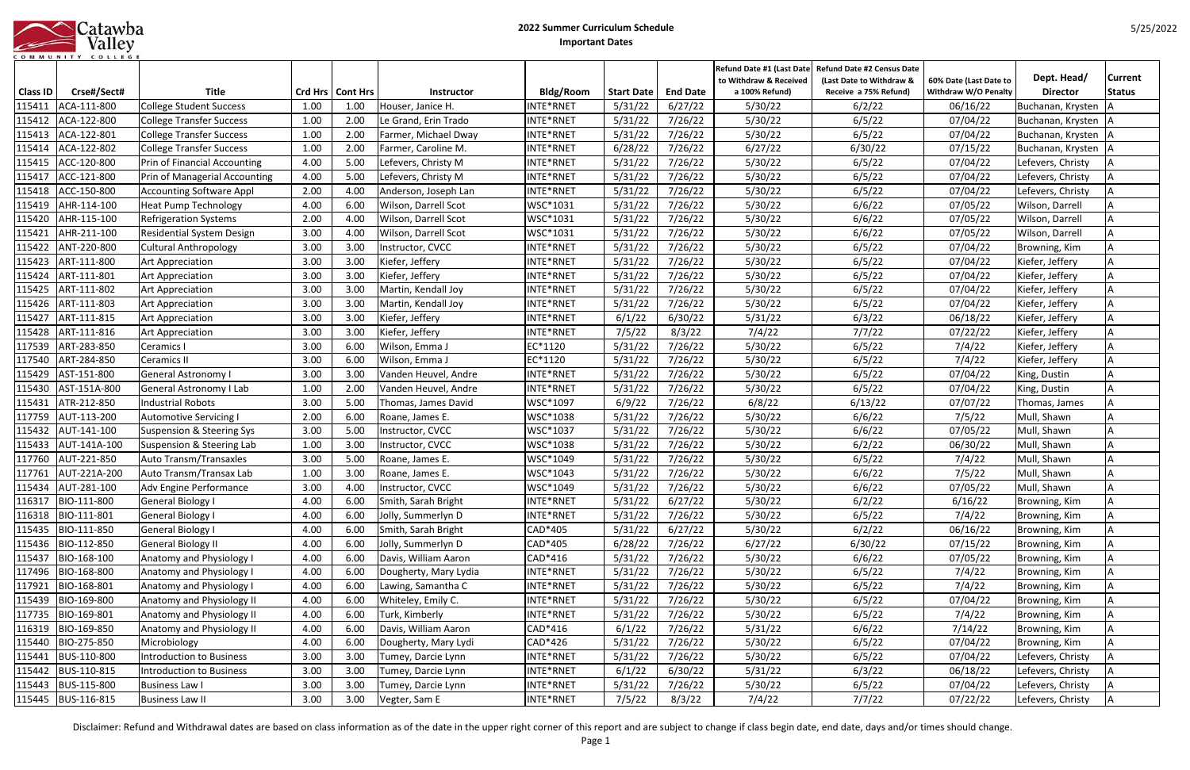|           |  |  |  |  |         |  |  | atawba |
|-----------|--|--|--|--|---------|--|--|--------|
|           |  |  |  |  | Valley  |  |  |        |
| COMMUNITY |  |  |  |  | COLLEGE |  |  |        |

|                 |                    |                                 |      |                    |                       |           |                   |                 | to Withdraw & Received | Refund Date #1 (Last Date Refund Date #2 Census Date<br>(Last Date to Withdraw & | 60% Date (Last Date to      | Dept. Head/       | <b>Current</b> |
|-----------------|--------------------|---------------------------------|------|--------------------|-----------------------|-----------|-------------------|-----------------|------------------------|----------------------------------------------------------------------------------|-----------------------------|-------------------|----------------|
| <b>Class ID</b> | Crse#/Sect#        | <b>Title</b>                    |      | Crd Hrs   Cont Hrs | Instructor            | Bldg/Room | <b>Start Date</b> | <b>End Date</b> | a 100% Refund)         | Receive a 75% Refund)                                                            | <b>Withdraw W/O Penalty</b> | <b>Director</b>   | <b>Status</b>  |
| 115411          | ACA-111-800        | <b>College Student Success</b>  | 1.00 | 1.00               | Houser, Janice H.     | INTE*RNET | 5/31/22           | 6/27/22         | 5/30/22                | 6/2/22                                                                           | 06/16/22                    | Buchanan, Krysten |                |
| 115412          | ACA-122-800        | <b>College Transfer Success</b> | 1.00 | 2.00               | Le Grand, Erin Trado  | INTE*RNET | 5/31/22           | 7/26/22         | 5/30/22                | 6/5/22                                                                           | 07/04/22                    | Buchanan, Krysten |                |
| 115413          | ACA-122-801        | <b>College Transfer Success</b> | 1.00 | 2.00               | Farmer, Michael Dway  | INTE*RNET | 5/31/22           | 7/26/22         | 5/30/22                | 6/5/22                                                                           | 07/04/22                    | Buchanan, Krysten |                |
| 115414          | ACA-122-802        | <b>College Transfer Success</b> | 1.00 | 2.00               | Farmer, Caroline M.   | INTE*RNET | 6/28/22           | 7/26/22         | 6/27/22                | 6/30/22                                                                          | 07/15/22                    | Buchanan, Krysten |                |
| 115415          | ACC-120-800        | Prin of Financial Accounting    | 4.00 | 5.00               | Lefevers, Christy M   | INTE*RNET | 5/31/22           | 7/26/22         | 5/30/22                | 6/5/22                                                                           | 07/04/22                    | Lefevers, Christy |                |
| 115417          | ACC-121-800        | Prin of Managerial Accounting   | 4.00 | 5.00               | Lefevers, Christy M   | INTE*RNET | 5/31/22           | 7/26/22         | 5/30/22                | 6/5/22                                                                           | 07/04/22                    | Lefevers, Christy |                |
| 115418          | ACC-150-800        | <b>Accounting Software Appl</b> | 2.00 | 4.00               | Anderson, Joseph Lan  | INTE*RNET | 5/31/22           | 7/26/22         | 5/30/22                | 6/5/22                                                                           | 07/04/22                    | Lefevers, Christy |                |
| 115419          | AHR-114-100        | <b>Heat Pump Technology</b>     | 4.00 | 6.00               | Wilson, Darrell Scot  | WSC*1031  | 5/31/22           | 7/26/22         | 5/30/22                | 6/6/22                                                                           | 07/05/22                    | Wilson, Darrell   |                |
| 115420          | AHR-115-100        | <b>Refrigeration Systems</b>    | 2.00 | 4.00               | Wilson, Darrell Scot  | WSC*1031  | 5/31/22           | 7/26/22         | 5/30/22                | 6/6/22                                                                           | 07/05/22                    | Wilson, Darrell   |                |
| 115421          | AHR-211-100        | Residential System Design       | 3.00 | 4.00               | Wilson, Darrell Scot  | WSC*1031  | 5/31/22           | 7/26/22         | 5/30/22                | 6/6/22                                                                           | 07/05/22                    | Wilson, Darrell   |                |
| 115422          | ANT-220-800        | <b>Cultural Anthropology</b>    | 3.00 | 3.00               | Instructor, CVCC      | INTE*RNET | 5/31/22           | 7/26/22         | 5/30/22                | 6/5/22                                                                           | 07/04/22                    | Browning, Kim     |                |
| 115423          | ART-111-800        | <b>Art Appreciation</b>         | 3.00 | 3.00               | Kiefer, Jeffery       | INTE*RNET | 5/31/22           | 7/26/22         | 5/30/22                | 6/5/22                                                                           | 07/04/22                    | Kiefer, Jeffery   |                |
| 115424          | ART-111-801        | <b>Art Appreciation</b>         | 3.00 | 3.00               | Kiefer, Jeffery       | INTE*RNET | 5/31/22           | 7/26/22         | 5/30/22                | 6/5/22                                                                           | 07/04/22                    | Kiefer, Jeffery   |                |
| 115425          | ART-111-802        | <b>Art Appreciation</b>         | 3.00 | 3.00               | Martin, Kendall Joy   | INTE*RNET | 5/31/22           | 7/26/22         | 5/30/22                | 6/5/22                                                                           | 07/04/22                    | Kiefer, Jeffery   |                |
| 115426          | ART-111-803        | <b>Art Appreciation</b>         | 3.00 | 3.00               | Martin, Kendall Joy   | INTE*RNET | 5/31/22           | 7/26/22         | 5/30/22                | 6/5/22                                                                           | 07/04/22                    | Kiefer, Jeffery   |                |
| 115427          | ART-111-815        | <b>Art Appreciation</b>         | 3.00 | 3.00               | Kiefer, Jeffery       | INTE*RNET | 6/1/22            | 6/30/22         | 5/31/22                | 6/3/22                                                                           | 06/18/22                    | Kiefer, Jeffery   |                |
| 115428          | ART-111-816        | <b>Art Appreciation</b>         | 3.00 | 3.00               | Kiefer, Jeffery       | INTE*RNET | 7/5/22            | 8/3/22          | 7/4/22                 | 7/7/22                                                                           | 07/22/22                    | Kiefer, Jeffery   |                |
| 117539          | ART-283-850        | Ceramics I                      | 3.00 | 6.00               | Wilson, Emma J        | EC*1120   | 5/31/22           | 7/26/22         | 5/30/22                | 6/5/22                                                                           | 7/4/22                      | Kiefer, Jeffery   |                |
| 117540          | ART-284-850        | Ceramics II                     | 3.00 | 6.00               | Wilson, Emma J        | EC*1120   | 5/31/22           | 7/26/22         | 5/30/22                | 6/5/22                                                                           | 7/4/22                      | Kiefer, Jeffery   |                |
| 115429          | AST-151-800        | General Astronomy I             | 3.00 | 3.00               | Vanden Heuvel, Andre  | INTE*RNET | 5/31/22           | 7/26/22         | 5/30/22                | 6/5/22                                                                           | 07/04/22                    | King, Dustin      |                |
| 115430          | AST-151A-800       | General Astronomy I Lab         | 1.00 | 2.00               | Vanden Heuvel, Andre  | INTE*RNET | 5/31/22           | 7/26/22         | 5/30/22                | 6/5/22                                                                           | 07/04/22                    | King, Dustin      |                |
| 115431          | ATR-212-850        | <b>Industrial Robots</b>        | 3.00 | 5.00               | Thomas, James David   | WSC*1097  | 6/9/22            | 7/26/22         | 6/8/22                 | 6/13/22                                                                          | 07/07/22                    | Thomas, James     |                |
| 117759          | AUT-113-200        | Automotive Servicing            | 2.00 | 6.00               | Roane, James E.       | WSC*1038  | 5/31/22           | 7/26/22         | 5/30/22                | 6/6/22                                                                           | 7/5/22                      | Mull, Shawn       |                |
| 115432          | AUT-141-100        | Suspension & Steering Sys       | 3.00 | 5.00               | Instructor, CVCC      | WSC*1037  | 5/31/22           | 7/26/22         | 5/30/22                | 6/6/22                                                                           | 07/05/22                    | Mull, Shawn       |                |
| 115433          | AUT-141A-100       | Suspension & Steering Lab       | 1.00 | 3.00               | Instructor, CVCC      | WSC*1038  | 5/31/22           | 7/26/22         | 5/30/22                | 6/2/22                                                                           | 06/30/22                    | Mull, Shawn       |                |
| 117760          | AUT-221-850        | Auto Transm/Transaxles          | 3.00 | 5.00               | Roane, James E.       | WSC*1049  | 5/31/22           | 7/26/22         | 5/30/22                | 6/5/22                                                                           | 7/4/22                      | Mull, Shawn       |                |
| 117761          | AUT-221A-200       | Auto Transm/Transax Lab         | 1.00 | 3.00               | Roane, James E.       | WSC*1043  | 5/31/22           | 7/26/22         | 5/30/22                | 6/6/22                                                                           | 7/5/22                      | Mull, Shawn       |                |
| 115434          | AUT-281-100        | Adv Engine Performance          | 3.00 | 4.00               | Instructor, CVCC      | WSC*1049  | 5/31/22           | 7/26/22         | 5/30/22                | 6/6/22                                                                           | 07/05/22                    | Mull, Shawn       |                |
|                 | 116317 BIO-111-800 | General Biology I               | 4.00 | 6.00               | Smith, Sarah Bright   | INTE*RNET | 5/31/22           | 6/27/22         | 5/30/22                | 6/2/22                                                                           | 6/16/22                     | Browning, Kim     | A              |
| 116318          | BIO-111-801        | General Biology I               | 4.00 | 6.00               | Jolly, Summerlyn D    | INTE*RNET | 5/31/22           | 7/26/22         | 5/30/22                | 6/5/22                                                                           | 7/4/22                      | Browning, Kim     |                |
| 115435          | BIO-111-850        | General Biology I               | 4.00 | 6.00               | Smith, Sarah Bright   | CAD*405   | 5/31/22           | 6/27/22         | 5/30/22                | 6/2/22                                                                           | 06/16/22                    | Browning, Kim     |                |
| 115436          | BIO-112-850        | <b>General Biology II</b>       | 4.00 | 6.00               | Jolly, Summerlyn D    | CAD*405   | 6/28/22           | 7/26/22         | 6/27/22                | 6/30/22                                                                          | 07/15/22                    | Browning, Kim     |                |
| 115437          | BIO-168-100        | Anatomy and Physiology I        | 4.00 | 6.00               | Davis, William Aaron  | CAD*416   | 5/31/22           | 7/26/22         | 5/30/22                | 6/6/22                                                                           | 07/05/22                    | Browning, Kim     |                |
| 117496          | BIO-168-800        | Anatomy and Physiology I        | 4.00 | 6.00               | Dougherty, Mary Lydia | INTE*RNET | 5/31/22           | 7/26/22         | 5/30/22                | 6/5/22                                                                           | 7/4/22                      | Browning, Kim     |                |
| 117921          | BIO-168-801        | Anatomy and Physiology I        | 4.00 | 6.00               | Lawing, Samantha C    | INTE*RNET | 5/31/22           | 7/26/22         | 5/30/22                | 6/5/22                                                                           | 7/4/22                      | Browning, Kim     |                |
| 115439          | BIO-169-800        | Anatomy and Physiology II       | 4.00 | 6.00               | Whiteley, Emily C.    | INTE*RNET | 5/31/22           | 7/26/22         | 5/30/22                | 6/5/22                                                                           | 07/04/22                    | Browning, Kim     |                |
| 117735          | BIO-169-801        | Anatomy and Physiology II       | 4.00 | 6.00               | Turk, Kimberly        | INTE*RNET | 5/31/22           | 7/26/22         | 5/30/22                | 6/5/22                                                                           | 7/4/22                      | Browning, Kim     |                |
| 116319          | BIO-169-850        | Anatomy and Physiology II       | 4.00 | 6.00               | Davis, William Aaron  | CAD*416   | 6/1/22            | 7/26/22         | 5/31/22                | 6/6/22                                                                           | 7/14/22                     | Browning, Kim     |                |
| 115440          | BIO-275-850        | Microbiology                    | 4.00 | 6.00               | Dougherty, Mary Lydi  | CAD*426   | 5/31/22           | 7/26/22         | 5/30/22                | 6/5/22                                                                           | 07/04/22                    | Browning, Kim     |                |
| 115441          | BUS-110-800        | Introduction to Business        | 3.00 | 3.00               | Tumey, Darcie Lynn    | INTE*RNET | 5/31/22           | 7/26/22         | 5/30/22                | 6/5/22                                                                           | 07/04/22                    | Lefevers, Christy |                |
| 115442          | BUS-110-815        | Introduction to Business        | 3.00 | 3.00               | Tumey, Darcie Lynn    | INTE*RNET | 6/1/22            | 6/30/22         | 5/31/22                | 6/3/22                                                                           | 06/18/22                    | Lefevers, Christy |                |
| 115443          | BUS-115-800        | Business Law I                  | 3.00 | 3.00               | Tumey, Darcie Lynn    | INTE*RNET | 5/31/22           | 7/26/22         | 5/30/22                | 6/5/22                                                                           | 07/04/22                    | Lefevers, Christy |                |
|                 | 115445 BUS-116-815 | <b>Business Law II</b>          | 3.00 | 3.00               | Vegter, Sam E         | INTE*RNET | 7/5/22            | 8/3/22          | 7/4/22                 | 7/7/22                                                                           | 07/22/22                    | Lefevers, Christy |                |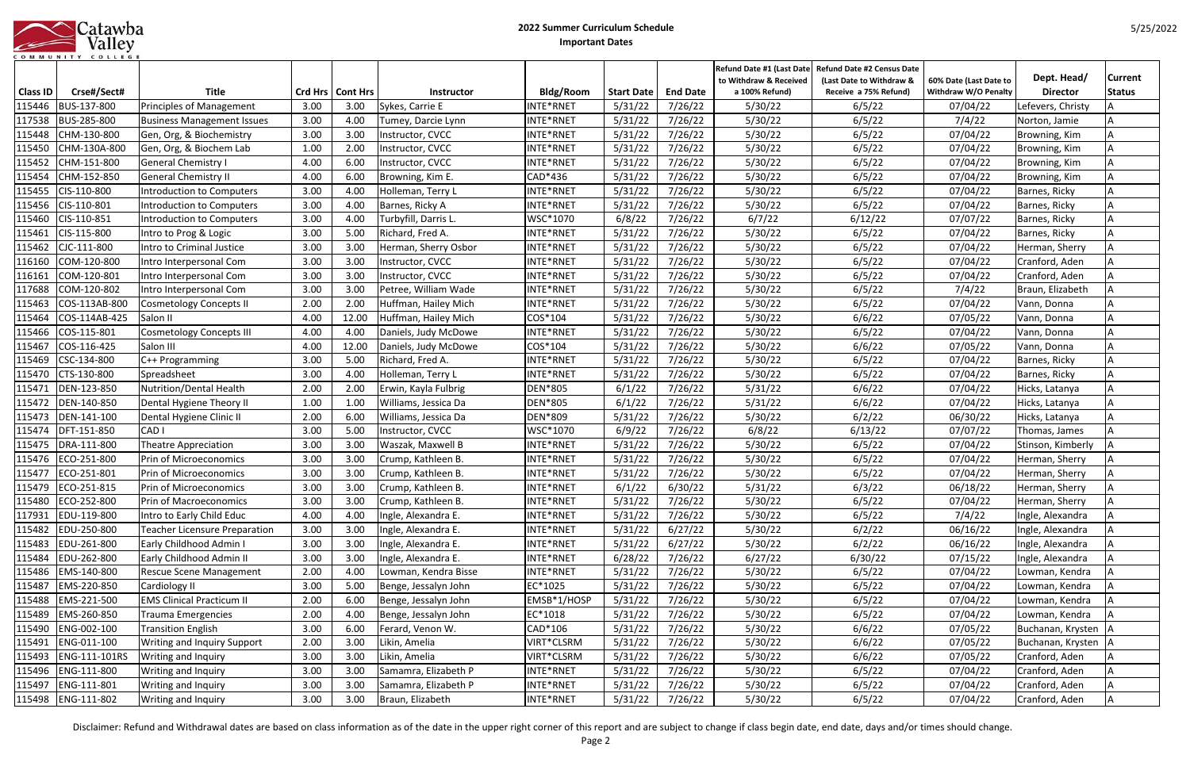|           | atawba  |
|-----------|---------|
|           | Valley  |
| COMMUNITY | COLLEGE |

|                  |                              |                                                   |              |                    |                                       |                         |                    |                    | to Withdraw & Received | Refund Date #1 (Last Date Refund Date #2 Census Date<br>(Last Date to Withdraw & | 60% Date (Last Date to      | Dept. Head/           | <b>Current</b> |
|------------------|------------------------------|---------------------------------------------------|--------------|--------------------|---------------------------------------|-------------------------|--------------------|--------------------|------------------------|----------------------------------------------------------------------------------|-----------------------------|-----------------------|----------------|
| <b>Class ID</b>  | Crse#/Sect#                  | <b>Title</b>                                      |              | Crd Hrs   Cont Hrs | Instructor                            | Bldg/Room               | <b>Start Date</b>  | <b>End Date</b>    | a 100% Refund)         | Receive a 75% Refund)                                                            | <b>Withdraw W/O Penalty</b> | <b>Director</b>       | <b>Status</b>  |
| 115446           | BUS-137-800                  | Principles of Management                          | 3.00         | 3.00               | Sykes, Carrie E                       | INTE*RNET               | 5/31/22            | 7/26/22            | 5/30/22                | 6/5/22                                                                           | 07/04/22                    | Lefevers, Christy     |                |
| 117538           | BUS-285-800                  | <b>Business Management Issues</b>                 | 3.00         | 4.00               | Tumey, Darcie Lynn                    | INTE*RNET               | 5/31/22            | 7/26/22            | 5/30/22                | 6/5/22                                                                           | 7/4/22                      | Norton, Jamie         |                |
| 115448           | CHM-130-800                  | Gen, Org, & Biochemistry                          | 3.00         | 3.00               | Instructor, CVCC                      | INTE*RNET               | 5/31/22            | 7/26/22            | 5/30/22                | 6/5/22                                                                           | 07/04/22                    | Browning, Kim         |                |
| 115450           | CHM-130A-800                 | Gen, Org, & Biochem Lab                           | 1.00         | 2.00               | Instructor, CVCC                      | INTE*RNET               | 5/31/22            | 7/26/22            | 5/30/22                | 6/5/22                                                                           | 07/04/22                    | Browning, Kim         |                |
| 115452           | CHM-151-800                  | <b>General Chemistry I</b>                        | 4.00         | 6.00               | Instructor, CVCC                      | INTE*RNET               | 5/31/22            | 7/26/22            | 5/30/22                | 6/5/22                                                                           | 07/04/22                    | Browning, Kim         |                |
| 115454           | CHM-152-850                  | <b>General Chemistry II</b>                       | 4.00         | 6.00               | Browning, Kim E.                      | CAD*436                 | 5/31/22            | 7/26/22            | 5/30/22                | 6/5/22                                                                           | 07/04/22                    | Browning, Kim         |                |
| 115455           | CIS-110-800                  | Introduction to Computers                         | 3.00         | 4.00               | Holleman, Terry L                     | INTE*RNET               | 5/31/22            | 7/26/22            | 5/30/22                | 6/5/22                                                                           | 07/04/22                    | Barnes, Ricky         |                |
| 115456           | CIS-110-801                  | Introduction to Computers                         | 3.00         | 4.00               | Barnes, Ricky A                       | INTE*RNET               | 5/31/22            | 7/26/22            | 5/30/22                | 6/5/22                                                                           | 07/04/22                    | Barnes, Ricky         |                |
| 115460           | CIS-110-851                  | Introduction to Computers                         | 3.00         | 4.00               | Turbyfill, Darris L.                  | WSC*1070                | 6/8/22             | 7/26/22            | 6/7/22                 | 6/12/22                                                                          | 07/07/22                    | Barnes, Ricky         |                |
| 115461           | CIS-115-800                  | Intro to Prog & Logic                             | 3.00         | 5.00               | Richard, Fred A.                      | INTE*RNET               | 5/31/22            | 7/26/22            | 5/30/22                | 6/5/22                                                                           | 07/04/22                    | Barnes, Ricky         |                |
| 115462           | CJC-111-800                  | Intro to Criminal Justice                         | 3.00         | 3.00               | Herman, Sherry Osbor                  | INTE*RNET               | 5/31/22            | 7/26/22            | 5/30/22                | 6/5/22                                                                           | 07/04/22                    | Herman, Sherry        |                |
| 116160           | COM-120-800                  | Intro Interpersonal Com                           | 3.00         | 3.00               | Instructor, CVCC                      | INTE*RNET               | 5/31/22            | 7/26/22            | 5/30/22                | 6/5/22                                                                           | 07/04/22                    | Cranford, Aden        |                |
| 116161           | COM-120-801                  | Intro Interpersonal Com                           | 3.00         | 3.00               | Instructor, CVCC                      | INTE*RNET               | 5/31/22            | 7/26/22            | 5/30/22                | 6/5/22                                                                           | 07/04/22                    | Cranford, Aden        |                |
| 117688           | COM-120-802                  | Intro Interpersonal Com                           | 3.00         | 3.00               | Petree, William Wade                  | INTE*RNET               | 5/31/22            | 7/26/22            | 5/30/22                | 6/5/22                                                                           | 7/4/22                      | Braun, Elizabeth      |                |
| 115463           | COS-113AB-800                | <b>Cosmetology Concepts II</b>                    | 2.00         | 2.00               | Huffman, Hailey Mich                  | INTE*RNET               | 5/31/22            | 7/26/22            | 5/30/22                | 6/5/22                                                                           | 07/04/22                    | Vann, Donna           |                |
| 115464           | COS-114AB-425                | Salon II                                          | 4.00         | 12.00              | Huffman, Hailey Mich                  | COS*104                 | 5/31/22            | 7/26/22            | 5/30/22                | 6/6/22                                                                           | 07/05/22                    | Vann, Donna           |                |
| 115466           | COS-115-801                  | <b>Cosmetology Concepts III</b>                   | 4.00         | 4.00               | Daniels, Judy McDowe                  | INTE*RNET               | 5/31/22            | 7/26/22            | 5/30/22                | 6/5/22                                                                           | 07/04/22                    | Vann, Donna           |                |
| 115467           | COS-116-425                  | Salon III                                         | 4.00         | 12.00              | Daniels, Judy McDowe                  | COS*104                 | 5/31/22            | 7/26/22            | 5/30/22                | 6/6/22                                                                           | 07/05/22                    | Vann, Donna           |                |
| 115469           | CSC-134-800                  | C++ Programming                                   | 3.00         | 5.00               | Richard, Fred A.                      | INTE*RNET               | 5/31/22            | 7/26/22            | 5/30/22                | 6/5/22                                                                           | 07/04/22                    | Barnes, Ricky         |                |
| 115470           | CTS-130-800                  | Spreadsheet                                       | 3.00         | 4.00               | Holleman, Terry L                     | INTE*RNET               | 5/31/22            | 7/26/22            | 5/30/22                | 6/5/22                                                                           | 07/04/22                    | Barnes, Ricky         |                |
| 115471           | DEN-123-850                  | Nutrition/Dental Health                           | 2.00         | 2.00               | Erwin, Kayla Fulbrig                  | DEN*805                 | 6/1/22             | 7/26/22            | 5/31/22                | 6/6/22                                                                           | 07/04/22                    | Hicks, Latanya        |                |
| 115472           | DEN-140-850                  | Dental Hygiene Theory II                          | 1.00         | 1.00               | Williams, Jessica Da                  | DEN*805                 | 6/1/22             | 7/26/22            | 5/31/22                | 6/6/22                                                                           | 07/04/22                    | Hicks, Latanya        |                |
| 115473           | DEN-141-100                  | Dental Hygiene Clinic II                          | 2.00         | 6.00               | Williams, Jessica Da                  | DEN*809                 | 5/31/22            | 7/26/22            | 5/30/22                | 6/2/22                                                                           | 06/30/22                    | Hicks, Latanya        |                |
| 115474           | DFT-151-850                  | CAD <sub>I</sub>                                  | 3.00         | 5.00               | Instructor, CVCC                      | WSC*1070                | 6/9/22             | 7/26/22            | 6/8/22                 | 6/13/22                                                                          | 07/07/22                    | Thomas, James         |                |
| 115475           | DRA-111-800                  | Theatre Appreciation                              | 3.00         | 3.00               | Waszak, Maxwell B                     | INTE*RNET               | 5/31/22            | 7/26/22            | 5/30/22                | 6/5/22                                                                           | 07/04/22                    | Stinson, Kimberly     |                |
| 115476           | ECO-251-800                  | Prin of Microeconomics                            | 3.00         | 3.00               | Crump, Kathleen B.                    | INTE*RNET               | 5/31/22            | 7/26/22            | 5/30/22                | 6/5/22                                                                           | 07/04/22                    | Herman, Sherry        |                |
| 115477           | ECO-251-801                  | Prin of Microeconomics                            | 3.00         | 3.00               | Crump, Kathleen B.                    | INTE*RNET               | 5/31/22            | 7/26/22            | 5/30/22                | 6/5/22                                                                           | 07/04/22                    | Herman, Sherry        |                |
| 115479           | ECO-251-815                  | Prin of Microeconomics                            | 3.00         | 3.00               | Crump, Kathleen B.                    | INTE*RNET               | 6/1/22             | 6/30/22            | 5/31/22                | 6/3/22                                                                           | 06/18/22                    | Herman, Sherry        |                |
|                  | 115480 ECO-252-800           | <b>Prin of Macroeconomics</b>                     | 3.00         | 3.00               | Crump, Kathleen B.                    | INTE*RNET               | 5/31/22            | 7/26/22            | 5/30/22                | 6/5/22                                                                           | 07/04/22                    | Herman, Sherry        | A              |
|                  | 117931 EDU-119-800           | Intro to Early Child Educ                         | 4.00         | 4.00               | Ingle, Alexandra E.                   | INTE*RNET               | 5/31/22            | 7/26/22            | 5/30/22                | 6/5/22                                                                           | 7/4/22                      | Ingle, Alexandra      |                |
| 115482           | EDU-250-800                  | <b>Teacher Licensure Preparation</b>              | 3.00         | 3.00               | Ingle, Alexandra E.                   | INTE*RNET               | 5/31/22            | 6/27/22            | 5/30/22                | 6/2/22                                                                           | 06/16/22                    | Ingle, Alexandra      |                |
| 115483           | EDU-261-800                  | Early Childhood Admin I                           | 3.00         | 3.00               | Ingle, Alexandra E.                   | INTE*RNET               | 5/31/22            | 6/27/22            | 5/30/22                | 6/2/22                                                                           | 06/16/22                    | Ingle, Alexandra      |                |
| 115484           | EDU-262-800                  | Early Childhood Admin II                          | 3.00         | 3.00               | Ingle, Alexandra E.                   | INTE*RNET               | 6/28/22            | 7/26/22            | 6/27/22                | 6/30/22                                                                          | 07/15/22                    | Ingle, Alexandra      |                |
| 115486           | EMS-140-800                  | <b>Rescue Scene Management</b>                    | 2.00         | 4.00               | Lowman, Kendra Bisse                  | INTE*RNET               | 5/31/22            | 7/26/22            | 5/30/22                | 6/5/22                                                                           | 07/04/22                    | Lowman, Kendra        |                |
| 115487           | EMS-220-850                  | Cardiology II                                     | 3.00         | 5.00               | Benge, Jessalyn John                  | EC*1025                 | 5/31/22            | 7/26/22            | 5/30/22                | 6/5/22                                                                           | 07/04/22                    | Lowman, Kendra        |                |
| 115488           | EMS-221-500                  | <b>EMS Clinical Practicum II</b>                  | 2.00         | 6.00               | Benge, Jessalyn John                  | EMSB*1/HOSP             | 5/31/22            | 7/26/22            | 5/30/22                | 6/5/22                                                                           | 07/04/22                    | Lowman, Kendra        |                |
| 115489           | EMS-260-850                  | <b>Trauma Emergencies</b>                         | 2.00         | 4.00               | Benge, Jessalyn John                  | $EC*1018$               | 5/31/22            | 7/26/22            | 5/30/22                | 6/5/22                                                                           | 07/04/22                    | Lowman, Kendra        |                |
| 115490           | ENG-002-100                  | <b>Transition English</b>                         | 3.00         | 6.00               | Ferard, Venon W.                      | CAD*106                 | 5/31/22            | 7/26/22            | 5/30/22                | 6/6/22                                                                           | 07/05/22                    | Buchanan, Krysten   A |                |
| 115491           | ENG-011-100                  | <b>Writing and Inquiry Support</b>                | 2.00         | 3.00               | Likin, Amelia                         | VIRT*CLSRM              | 5/31/22            | 7/26/22            | 5/30/22                | 6/6/22                                                                           | 07/05/22                    | Buchanan, Krysten     |                |
| 115493           | ENG-111-101RS<br>ENG-111-800 | <b>Writing and Inquiry</b>                        | 3.00         | 3.00<br>3.00       | Likin, Amelia<br>Samamra, Elizabeth P | VIRT*CLSRM<br>INTE*RNET | 5/31/22            | 7/26/22            | 5/30/22                | 6/6/22                                                                           | 07/05/22                    | Cranford, Aden        |                |
| 115496<br>115497 | ENG-111-801                  | <b>Writing and Inquiry</b><br>Writing and Inquiry | 3.00<br>3.00 | 3.00               | Samamra, Elizabeth P                  | INTE*RNET               | 5/31/22<br>5/31/22 | 7/26/22<br>7/26/22 | 5/30/22<br>5/30/22     | 6/5/22<br>6/5/22                                                                 | 07/04/22<br>07/04/22        | Cranford, Aden        |                |
|                  | 115498 ENG-111-802           |                                                   | 3.00         | 3.00               | Braun, Elizabeth                      | INTE*RNET               |                    | 7/26/22            |                        |                                                                                  |                             | Cranford, Aden        |                |
|                  |                              | <b>Writing and Inquiry</b>                        |              |                    |                                       |                         | 5/31/22            |                    | 5/30/22                | 6/5/22                                                                           | 07/04/22                    | Cranford, Aden        |                |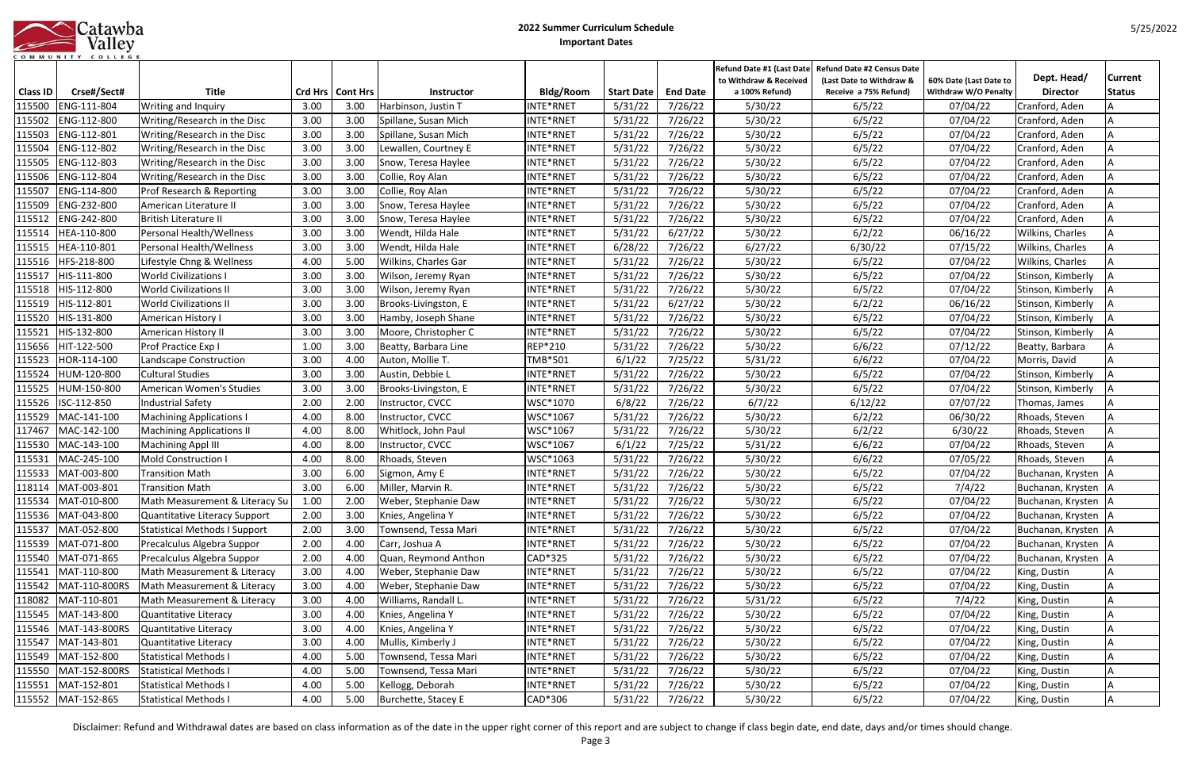| atawba            |
|-------------------|
| Valley            |
| COMMUNITY COLLEGE |

|                 |                            |                                  |              |                    |                                         |                        |                   |                 | Refund Date #1 (Last Date                | <b>Refund Date #2 Census Date</b>                 |                                                       |                                | Current       |
|-----------------|----------------------------|----------------------------------|--------------|--------------------|-----------------------------------------|------------------------|-------------------|-----------------|------------------------------------------|---------------------------------------------------|-------------------------------------------------------|--------------------------------|---------------|
| <b>Class ID</b> | Crse#/Sect#                | <b>Title</b>                     |              | Crd Hrs   Cont Hrs | Instructor                              | Bldg/Room              | <b>Start Date</b> | <b>End Date</b> | to Withdraw & Received<br>a 100% Refund) | (Last Date to Withdraw &<br>Receive a 75% Refund) | 60% Date (Last Date to<br><b>Withdraw W/O Penalty</b> | Dept. Head/<br><b>Director</b> |               |
| 115500          | ENG-111-804                | <b>Writing and Inquiry</b>       | 3.00         | 3.00               | Harbinson, Justin T                     | INTE*RNET              | 5/31/22           | 7/26/22         | 5/30/22                                  | 6/5/22                                            | 07/04/22                                              | Cranford, Aden                 | <b>Status</b> |
| 115502          | ENG-112-800                | Writing/Research in the Disc     | 3.00         | 3.00               | Spillane, Susan Mich                    | INTE*RNET              | 5/31/22           | 7/26/22         | 5/30/22                                  | 6/5/22                                            | 07/04/22                                              | Cranford, Aden                 |               |
| 115503          | ENG-112-801                | Writing/Research in the Disc     | 3.00         | 3.00               | Spillane, Susan Mich                    | INTE*RNET              | 5/31/22           | 7/26/22         | 5/30/22                                  | 6/5/22                                            | 07/04/22                                              | Cranford, Aden                 |               |
| 115504          | ENG-112-802                |                                  | 3.00         | 3.00               |                                         | INTE*RNET              | 5/31/22           | 7/26/22         | 5/30/22                                  | 6/5/22                                            | 07/04/22                                              |                                |               |
| 115505          | ENG-112-803                | Writing/Research in the Disc     | 3.00         | 3.00               | Lewallen, Courtney E                    | INTE*RNET              | 5/31/22           | 7/26/22         | 5/30/22                                  | 6/5/22                                            | 07/04/22                                              | Cranford, Aden                 |               |
| 115506          | ENG-112-804                | Writing/Research in the Disc     | 3.00         | 3.00               | Snow, Teresa Haylee<br>Collie, Roy Alan | INTE*RNET              | 5/31/22           | 7/26/22         | 5/30/22                                  | 6/5/22                                            | 07/04/22                                              | Cranford, Aden                 |               |
|                 | ENG-114-800                | Writing/Research in the Disc     |              | 3.00               |                                         |                        | 5/31/22           | 7/26/22         |                                          | 6/5/22                                            |                                                       | Cranford, Aden                 |               |
| 115507          | ENG-232-800                | Prof Research & Reporting        | 3.00<br>3.00 | 3.00               | Collie, Roy Alan                        | INTE*RNET<br>INTE*RNET | 5/31/22           |                 | 5/30/22                                  |                                                   | 07/04/22                                              | Cranford, Aden                 |               |
| 115509          | ENG-242-800                | American Literature II           | 3.00         | 3.00               | Snow, Teresa Haylee                     | INTE*RNET              |                   | 7/26/22         | 5/30/22                                  | 6/5/22<br>6/5/22                                  | 07/04/22                                              | Cranford, Aden                 |               |
| 115512          |                            | <b>British Literature II</b>     |              |                    | Snow, Teresa Haylee                     |                        | 5/31/22           | 7/26/22         | 5/30/22                                  |                                                   | 07/04/22                                              | Cranford, Aden                 |               |
| 115514          | HEA-110-800                | Personal Health/Wellness         | 3.00         | 3.00               | Wendt, Hilda Hale                       | INTE*RNET              | 5/31/22           | 6/27/22         | 5/30/22                                  | 6/2/22                                            | 06/16/22                                              | Wilkins, Charles               |               |
| 115515          | HEA-110-801<br>HFS-218-800 | Personal Health/Wellness         | 3.00         | 3.00<br>5.00       | Wendt, Hilda Hale                       | INTE*RNET              | 6/28/22           | 7/26/22         | 6/27/22                                  | 6/30/22                                           | 07/15/22                                              | Wilkins, Charles               |               |
| 115516          |                            | Lifestyle Chng & Wellness        | 4.00         |                    | Wilkins, Charles Gar                    | INTE*RNET              | 5/31/22           | 7/26/22         | 5/30/22                                  | 6/5/22                                            | 07/04/22                                              | Wilkins, Charles               |               |
| 115517          | HIS-111-800                | <b>World Civilizations I</b>     | 3.00         | 3.00               | Wilson, Jeremy Ryan                     | INTE*RNET              | 5/31/22           | 7/26/22         | 5/30/22                                  | 6/5/22                                            | 07/04/22                                              | Stinson, Kimberly              |               |
| 115518          | HIS-112-800                | <b>World Civilizations II</b>    | 3.00         | 3.00               | Wilson, Jeremy Ryan                     | INTE*RNET              | 5/31/22           | 7/26/22         | 5/30/22                                  | 6/5/22                                            | 07/04/22                                              | Stinson, Kimberly              |               |
| 115519          | HIS-112-801                | <b>World Civilizations II</b>    | 3.00         | 3.00               | Brooks-Livingston, E                    | INTE*RNET              | 5/31/22           | 6/27/22         | 5/30/22                                  | 6/2/22                                            | 06/16/22                                              | Stinson, Kimberly              |               |
| 115520          | HIS-131-800                | American History I               | 3.00         | 3.00               | Hamby, Joseph Shane                     | INTE*RNET              | 5/31/22           | 7/26/22         | 5/30/22                                  | 6/5/22                                            | 07/04/22                                              | Stinson, Kimberly              |               |
| 115521          | HIS-132-800                | American History II              | 3.00         | 3.00               | Moore, Christopher C                    | INTE*RNET              | 5/31/22           | 7/26/22         | 5/30/22                                  | 6/5/22                                            | 07/04/22                                              | Stinson, Kimberly              |               |
| 115656          | HIT-122-500                | Prof Practice Exp I              | 1.00         | 3.00               | Beatty, Barbara Line                    | <b>REP*210</b>         | 5/31/22           | 7/26/22         | 5/30/22                                  | 6/6/22                                            | 07/12/22                                              | Beatty, Barbara                |               |
| 115523          | HOR-114-100                | Landscape Construction           | 3.00         | 4.00               | Auton, Mollie T.                        | TMB*501                | 6/1/22            | 7/25/22         | 5/31/22                                  | 6/6/22                                            | 07/04/22                                              | Morris, David                  |               |
| 115524          | HUM-120-800                | <b>Cultural Studies</b>          | 3.00         | 3.00               | Austin, Debbie L                        | INTE*RNET              | 5/31/22           | 7/26/22         | 5/30/22                                  | 6/5/22                                            | 07/04/22                                              | Stinson, Kimberly              |               |
| 115525          | HUM-150-800                | American Women's Studies         | 3.00         | 3.00               | Brooks-Livingston, E                    | INTE*RNET              | 5/31/22           | 7/26/22         | 5/30/22                                  | 6/5/22                                            | 07/04/22                                              | Stinson, Kimberly              |               |
| 115526          | ISC-112-850                | <b>Industrial Safety</b>         | 2.00         | 2.00               | Instructor, CVCC                        | WSC*1070               | 6/8/22            | 7/26/22         | 6/7/22                                   | 6/12/22                                           | 07/07/22                                              | Thomas, James                  |               |
| 115529          | MAC-141-100                | <b>Machining Applications I</b>  | 4.00         | 8.00               | Instructor, CVCC                        | WSC*1067               | 5/31/22           | 7/26/22         | 5/30/22                                  | 6/2/22                                            | 06/30/22                                              | Rhoads, Steven                 |               |
| 117467          | MAC-142-100                | <b>Machining Applications II</b> | 4.00         | 8.00               | Whitlock, John Paul                     | WSC*1067               | 5/31/22           | 7/26/22         | 5/30/22                                  | 6/2/22                                            | 6/30/22                                               | Rhoads, Steven                 |               |
| 115530          | MAC-143-100                | <b>Machining Appl III</b>        | 4.00         | 8.00               | Instructor, CVCC                        | WSC*1067               | 6/1/22            | 7/25/22         | 5/31/22                                  | 6/6/22                                            | 07/04/22                                              | Rhoads, Steven                 |               |
| 115531          | MAC-245-100                | Mold Construction I              | 4.00         | 8.00               | Rhoads, Steven                          | WSC*1063               | 5/31/22           | 7/26/22         | 5/30/22                                  | 6/6/22                                            | 07/05/22                                              | Rhoads, Steven                 |               |
| 115533          | MAT-003-800                | <b>Transition Math</b>           | 3.00         | 6.00               | Sigmon, Amy E                           | INTE*RNET              | 5/31/22           | 7/26/22         | 5/30/22                                  | 6/5/22                                            | 07/04/22                                              | Buchanan, Krysten              |               |
| 118114          | MAT-003-801                | <b>Transition Math</b>           | 3.00         | 6.00               | Miller, Marvin R.                       | INTE*RNET              | 5/31/22           | 7/26/22         | 5/30/22                                  | 6/5/22                                            | 7/4/22                                                | Buchanan, Krysten              |               |
|                 | 115534 MAT-010-800         | Math Measurement & Literacy Su   | 1.00         | 2.00               | Weber, Stephanie Daw                    | INTE*RNET              | 5/31/22           | 7/26/22         | 5/30/22                                  | 6/5/22                                            | 07/04/22                                              | Buchanan, Krysten   A          |               |
| 115536          | MAT-043-800                | Quantitative Literacy Support    | 2.00         | 3.00               | Knies, Angelina Y                       | INTE*RNET              | 5/31/22           | 7/26/22         | 5/30/22                                  | 6/5/22                                            | 07/04/22                                              | Buchanan, Krysten   A          |               |
| 115537          | MAT-052-800                | Statistical Methods I Support    | 2.00         | 3.00               | Townsend, Tessa Mari                    | INTE*RNET              | 5/31/22           | 7/26/22         | 5/30/22                                  | 6/5/22                                            | 07/04/22                                              | Buchanan, Krysten   A          |               |
| 115539          | MAT-071-800                | Precalculus Algebra Suppor       | 2.00         | 4.00               | Carr, Joshua A                          | INTE*RNET              | 5/31/22           | 7/26/22         | 5/30/22                                  | 6/5/22                                            | 07/04/22                                              | Buchanan, Krysten   A          |               |
| 115540          | MAT-071-865                | Precalculus Algebra Suppor       | 2.00         | 4.00               | Quan, Reymond Anthon                    | CAD*325                | 5/31/22           | 7/26/22         | 5/30/22                                  | 6/5/22                                            | 07/04/22                                              | Buchanan, Krysten   A          |               |
| 115541          | MAT-110-800                | Math Measurement & Literacy      | 3.00         | 4.00               | Weber, Stephanie Daw                    | INTE*RNET              | 5/31/22           | 7/26/22         | 5/30/22                                  | 6/5/22                                            | 07/04/22                                              | King, Dustin                   |               |
| 115542          | MAT-110-800RS              | Math Measurement & Literacy      | 3.00         | 4.00               | Weber, Stephanie Daw                    | INTE*RNET              | 5/31/22           | 7/26/22         | 5/30/22                                  | 6/5/22                                            | 07/04/22                                              | King, Dustin                   |               |
| 118082          | MAT-110-801                | Math Measurement & Literacy      | 3.00         | 4.00               | Williams, Randall L.                    | INTE*RNET              | 5/31/22           | 7/26/22         | 5/31/22                                  | 6/5/22                                            | 7/4/22                                                | King, Dustin                   |               |
| 115545          | MAT-143-800                | Quantitative Literacy            | 3.00         | 4.00               | Knies, Angelina Y                       | INTE*RNET              | 5/31/22           | 7/26/22         | 5/30/22                                  | 6/5/22                                            | 07/04/22                                              | King, Dustin                   |               |
| 115546          | MAT-143-800RS              | Quantitative Literacy            | 3.00         | 4.00               | Knies, Angelina Y                       | INTE*RNET              | 5/31/22           | 7/26/22         | 5/30/22                                  | 6/5/22                                            | 07/04/22                                              | King, Dustin                   |               |
| 115547          | MAT-143-801                | Quantitative Literacy            | 3.00         | 4.00               | Mullis, Kimberly J                      | INTE*RNET              | 5/31/22           | 7/26/22         | 5/30/22                                  | 6/5/22                                            | 07/04/22                                              | King, Dustin                   |               |
| 115549          | MAT-152-800                | <b>Statistical Methods I</b>     | 4.00         | 5.00               | Townsend, Tessa Mari                    | INTE*RNET              | 5/31/22           | 7/26/22         | 5/30/22                                  | 6/5/22                                            | 07/04/22                                              | King, Dustin                   |               |
| 115550          | MAT-152-800RS              | <b>Statistical Methods I</b>     | 4.00         | 5.00               | Townsend, Tessa Mari                    | INTE*RNET              | 5/31/22           | 7/26/22         | 5/30/22                                  | 6/5/22                                            | 07/04/22                                              | King, Dustin                   |               |
| 115551          | MAT-152-801                | <b>Statistical Methods I</b>     | 4.00         | 5.00               | Kellogg, Deborah                        | INTE*RNET              | 5/31/22           | 7/26/22         | 5/30/22                                  | 6/5/22                                            | 07/04/22                                              | King, Dustin                   |               |
|                 | 115552 MAT-152-865         | <b>Statistical Methods I</b>     | 4.00         | 5.00               | Burchette, Stacey E                     | CAD*306                | 5/31/22           | 7/26/22         | 5/30/22                                  | 6/5/22                                            | 07/04/22                                              | King, Dustin                   |               |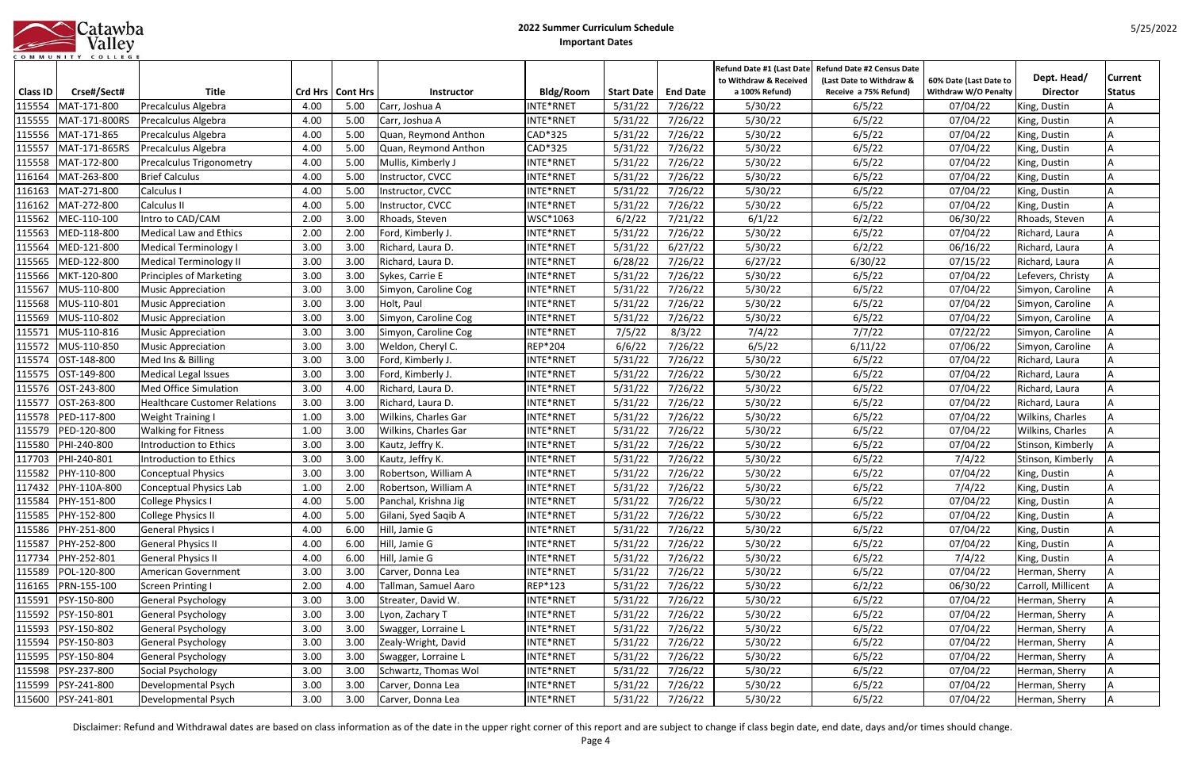| atawba            |
|-------------------|
| Valley            |
| COMMUNITY COLLEGE |

|                 | COMMUNITY COLLEGE  |                                      |      |                    |                      |           |                   |                 | <b>Refund Date #1 (Last Date</b> | <b>Refund Date #2 Census Date</b> |                        |                    |                |
|-----------------|--------------------|--------------------------------------|------|--------------------|----------------------|-----------|-------------------|-----------------|----------------------------------|-----------------------------------|------------------------|--------------------|----------------|
|                 |                    |                                      |      |                    |                      |           |                   |                 | to Withdraw & Received           | (Last Date to Withdraw &          | 60% Date (Last Date to | Dept. Head/        | <b>Current</b> |
| <b>Class ID</b> | Crse#/Sect#        | <b>Title</b>                         |      | Crd Hrs   Cont Hrs | Instructor           | Bldg/Room | <b>Start Date</b> | <b>End Date</b> | a 100% Refund)                   | Receive a 75% Refund)             | Withdraw W/O Penalty   | <b>Director</b>    | <b>Status</b>  |
| 115554          | MAT-171-800        | Precalculus Algebra                  | 4.00 | 5.00               | Carr, Joshua A       | INTE*RNET | 5/31/22           | 7/26/22         | 5/30/22                          | 6/5/22                            | 07/04/22               | King, Dustin       |                |
| 115555          | MAT-171-800RS      | Precalculus Algebra                  | 4.00 | 5.00               | Carr, Joshua A       | INTE*RNET | 5/31/22           | 7/26/22         | 5/30/22                          | 6/5/22                            | 07/04/22               | King, Dustin       |                |
| 115556          | MAT-171-865        | Precalculus Algebra                  | 4.00 | 5.00               | Quan, Reymond Anthon | CAD*325   | 5/31/22           | 7/26/22         | 5/30/22                          | 6/5/22                            | 07/04/22               | King, Dustin       |                |
| 115557          | MAT-171-865RS      | <b>Precalculus Algebra</b>           | 4.00 | 5.00               | Quan, Reymond Anthon | CAD*325   | 5/31/22           | 7/26/22         | 5/30/22                          | 6/5/22                            | 07/04/22               | King, Dustin       |                |
| 115558          | MAT-172-800        | <b>Precalculus Trigonometry</b>      | 4.00 | 5.00               | Mullis, Kimberly J   | INTE*RNET | 5/31/22           | 7/26/22         | 5/30/22                          | 6/5/22                            | 07/04/22               | King, Dustin       |                |
| 116164          | MAT-263-800        | <b>Brief Calculus</b>                | 4.00 | 5.00               | Instructor, CVCC     | INTE*RNET | 5/31/22           | 7/26/22         | 5/30/22                          | 6/5/22                            | 07/04/22               | King, Dustin       |                |
| 116163          | MAT-271-800        | Calculus I                           | 4.00 | 5.00               | Instructor, CVCC     | NTE*RNET  | 5/31/22           | 7/26/22         | 5/30/22                          | 6/5/22                            | 07/04/22               | King, Dustin       |                |
| 116162          | MAT-272-800        | Calculus II                          | 4.00 | 5.00               | Instructor, CVCC     | INTE*RNET | 5/31/22           | 7/26/22         | 5/30/22                          | 6/5/22                            | 07/04/22               | King, Dustin       |                |
| 115562          | MEC-110-100        | Intro to CAD/CAM                     | 2.00 | 3.00               | Rhoads, Steven       | WSC*1063  | 6/2/22            | 7/21/22         | 6/1/22                           | 6/2/22                            | 06/30/22               | Rhoads, Steven     |                |
| 115563          | MED-118-800        | Medical Law and Ethics               | 2.00 | 2.00               | Ford, Kimberly J.    | INTE*RNET | 5/31/22           | 7/26/22         | 5/30/22                          | 6/5/22                            | 07/04/22               | Richard, Laura     |                |
| 115564          | MED-121-800        | Medical Terminology I                | 3.00 | 3.00               | Richard, Laura D.    | INTE*RNET | 5/31/22           | 6/27/22         | 5/30/22                          | 6/2/22                            | 06/16/22               | Richard, Laura     |                |
| 115565          | MED-122-800        | <b>Medical Terminology II</b>        | 3.00 | 3.00               | Richard, Laura D.    | INTE*RNET | 6/28/22           | 7/26/22         | 6/27/22                          | 6/30/22                           | 07/15/22               | Richard, Laura     |                |
| 115566          | MKT-120-800        | <b>Principles of Marketing</b>       | 3.00 | 3.00               | Sykes, Carrie E      | INTE*RNET | 5/31/22           | 7/26/22         | 5/30/22                          | 6/5/22                            | 07/04/22               | Lefevers, Christy  |                |
| 115567          | MUS-110-800        | <b>Music Appreciation</b>            | 3.00 | 3.00               | Simyon, Caroline Cog | NTE*RNET  | 5/31/22           | 7/26/22         | 5/30/22                          | 6/5/22                            | 07/04/22               | Simyon, Caroline   |                |
| 115568          | MUS-110-801        | <b>Music Appreciation</b>            | 3.00 | 3.00               | Holt, Paul           | INTE*RNET | 5/31/22           | 7/26/22         | 5/30/22                          | 6/5/22                            | 07/04/22               | Simyon, Caroline   |                |
| 115569          | MUS-110-802        | <b>Music Appreciation</b>            | 3.00 | 3.00               | Simyon, Caroline Cog | INTE*RNET | 5/31/22           | 7/26/22         | 5/30/22                          | 6/5/22                            | 07/04/22               | Simyon, Caroline   |                |
| 115571          | MUS-110-816        | <b>Music Appreciation</b>            | 3.00 | 3.00               | Simyon, Caroline Cog | INTE*RNET | 7/5/22            | 8/3/22          | 7/4/22                           | 7/7/22                            | 07/22/22               | Simyon, Caroline   |                |
| 115572          | MUS-110-850        | <b>Music Appreciation</b>            | 3.00 | 3.00               | Weldon, Cheryl C.    | REP*204   | 6/6/22            | 7/26/22         | 6/5/22                           | 6/11/22                           | 07/06/22               | Simyon, Caroline   |                |
| 115574          | OST-148-800        | Med Ins & Billing                    | 3.00 | 3.00               | Ford, Kimberly J.    | INTE*RNET | 5/31/22           | 7/26/22         | 5/30/22                          | 6/5/22                            | 07/04/22               | Richard, Laura     |                |
| 115575          | OST-149-800        | <b>Medical Legal Issues</b>          | 3.00 | 3.00               | Ford, Kimberly J.    | INTE*RNET | 5/31/22           | 7/26/22         | 5/30/22                          | 6/5/22                            | 07/04/22               | Richard, Laura     |                |
| 115576          | OST-243-800        | <b>Med Office Simulation</b>         | 3.00 | 4.00               | Richard, Laura D.    | INTE*RNET | 5/31/22           | 7/26/22         | 5/30/22                          | 6/5/22                            | 07/04/22               | Richard, Laura     |                |
| 115577          | OST-263-800        | <b>Healthcare Customer Relations</b> | 3.00 | 3.00               | Richard, Laura D.    | INTE*RNET | 5/31/22           | 7/26/22         | 5/30/22                          | 6/5/22                            | 07/04/22               | Richard, Laura     |                |
| 115578          | PED-117-800        | <b>Weight Training I</b>             | 1.00 | 3.00               | Wilkins, Charles Gar | INTE*RNET | 5/31/22           | 7/26/22         | 5/30/22                          | 6/5/22                            | 07/04/22               | Wilkins, Charles   |                |
| 115579          | PED-120-800        | <b>Walking for Fitness</b>           | 1.00 | 3.00               | Wilkins, Charles Gar | INTE*RNET | 5/31/22           | 7/26/22         | 5/30/22                          | 6/5/22                            | 07/04/22               | Wilkins, Charles   |                |
| 115580          | PHI-240-800        | Introduction to Ethics               | 3.00 | 3.00               | Kautz, Jeffry K.     | INTE*RNET | 5/31/22           | 7/26/22         | 5/30/22                          | 6/5/22                            | 07/04/22               | Stinson, Kimberly  |                |
| 117703          | PHI-240-801        | <b>Introduction to Ethics</b>        | 3.00 | 3.00               | Kautz, Jeffry K.     | INTE*RNET | 5/31/22           | 7/26/22         | 5/30/22                          | 6/5/22                            | 7/4/22                 | Stinson, Kimberly  |                |
| 115582          | PHY-110-800        | <b>Conceptual Physics</b>            | 3.00 | 3.00               | Robertson, William A | INTE*RNET | 5/31/22           | 7/26/22         | 5/30/22                          | 6/5/22                            | 07/04/22               | King, Dustin       |                |
| 117432          | PHY-110A-800       | Conceptual Physics Lab               | 1.00 | 2.00               | Robertson, William A | INTE*RNET | 5/31/22           | 7/26/22         | 5/30/22                          | 6/5/22                            | 7/4/22                 | King, Dustin       |                |
| 115584          | PHY-151-800        | College Physics I                    | 4.00 | 5.00               | Panchal, Krishna Jig | INTE*RNET | 5/31/22           | 7/26/22         | 5/30/22                          | 6/5/22                            | 07/04/22               | King, Dustin       |                |
| 115585          | PHY-152-800        | <b>College Physics II</b>            | 4.00 | 5.00               | Gilani, Syed Saqib A | INTE*RNET | 5/31/22           | 7/26/22         | 5/30/22                          | 6/5/22                            | 07/04/22               | King, Dustin       |                |
| 115586          | PHY-251-800        | <b>General Physics I</b>             | 4.00 | 6.00               | Hill, Jamie G        | INTE*RNET | 5/31/22           | 7/26/22         | 5/30/22                          | 6/5/22                            | 07/04/22               | King, Dustin       |                |
| 115587          | PHY-252-800        | <b>General Physics II</b>            | 4.00 | 6.00               | Hill, Jamie G        | INTE*RNET | 5/31/22           | 7/26/22         | 5/30/22                          | 6/5/22                            | 07/04/22               | King, Dustin       |                |
| 117734          | PHY-252-801        | <b>General Physics II</b>            | 4.00 | 6.00               | Hill, Jamie G        | INTE*RNET | 5/31/22           | 7/26/22         | 5/30/22                          | 6/5/22                            | 7/4/22                 | King, Dustin       |                |
| 115589          | POL-120-800        | American Government                  | 3.00 | 3.00               | Carver, Donna Lea    | INTE*RNET | 5/31/22           | 7/26/22         | 5/30/22                          | 6/5/22                            | 07/04/22               | Herman, Sherry     |                |
| 116165          | PRN-155-100        | Screen Printing I                    | 2.00 | 4.00               | Tallman, Samuel Aaro | REP*123   | 5/31/22           | 7/26/22         | 5/30/22                          | 6/2/22                            | 06/30/22               | Carroll, Millicent |                |
| 115591          | PSY-150-800        | <b>General Psychology</b>            | 3.00 | 3.00               | Streater, David W.   | INTE*RNET | 5/31/22           | 7/26/22         | 5/30/22                          | 6/5/22                            | 07/04/22               | Herman, Sherry     |                |
| 115592          | PSY-150-801        | General Psychology                   | 3.00 | 3.00               | Lyon, Zachary T      | INTE*RNET | 5/31/22           | 7/26/22         | 5/30/22                          | 6/5/22                            | 07/04/22               | Herman, Sherry     |                |
| 115593          | PSY-150-802        | General Psychology                   | 3.00 | 3.00               | Swagger, Lorraine L  | INTE*RNET | 5/31/22           | 7/26/22         | 5/30/22                          | 6/5/22                            | 07/04/22               | Herman, Sherry     |                |
| 115594          | PSY-150-803        | General Psychology                   | 3.00 | 3.00               | Zealy-Wright, David  | INTE*RNET | 5/31/22           | 7/26/22         | 5/30/22                          | 6/5/22                            | 07/04/22               | Herman, Sherry     |                |
| 115595          | PSY-150-804        | General Psychology                   | 3.00 | 3.00               | Swagger, Lorraine L  | INTE*RNET | 5/31/22           | 7/26/22         | 5/30/22                          | 6/5/22                            | 07/04/22               | Herman, Sherry     |                |
| 115598          | PSY-237-800        | Social Psychology                    | 3.00 | 3.00               | Schwartz, Thomas Wol | INTE*RNET | 5/31/22           | 7/26/22         | 5/30/22                          | 6/5/22                            | 07/04/22               | Herman, Sherry     |                |
| 115599          | PSY-241-800        | Developmental Psych                  | 3.00 | 3.00               | Carver, Donna Lea    | INTE*RNET | 5/31/22           | 7/26/22         | 5/30/22                          | 6/5/22                            | 07/04/22               | Herman, Sherry     |                |
|                 | 115600 PSY-241-801 | Developmental Psych                  | 3.00 | 3.00               | Carver, Donna Lea    | INTE*RNET | 5/31/22           | 7/26/22         | 5/30/22                          | 6/5/22                            | 07/04/22               | Herman, Sherry     |                |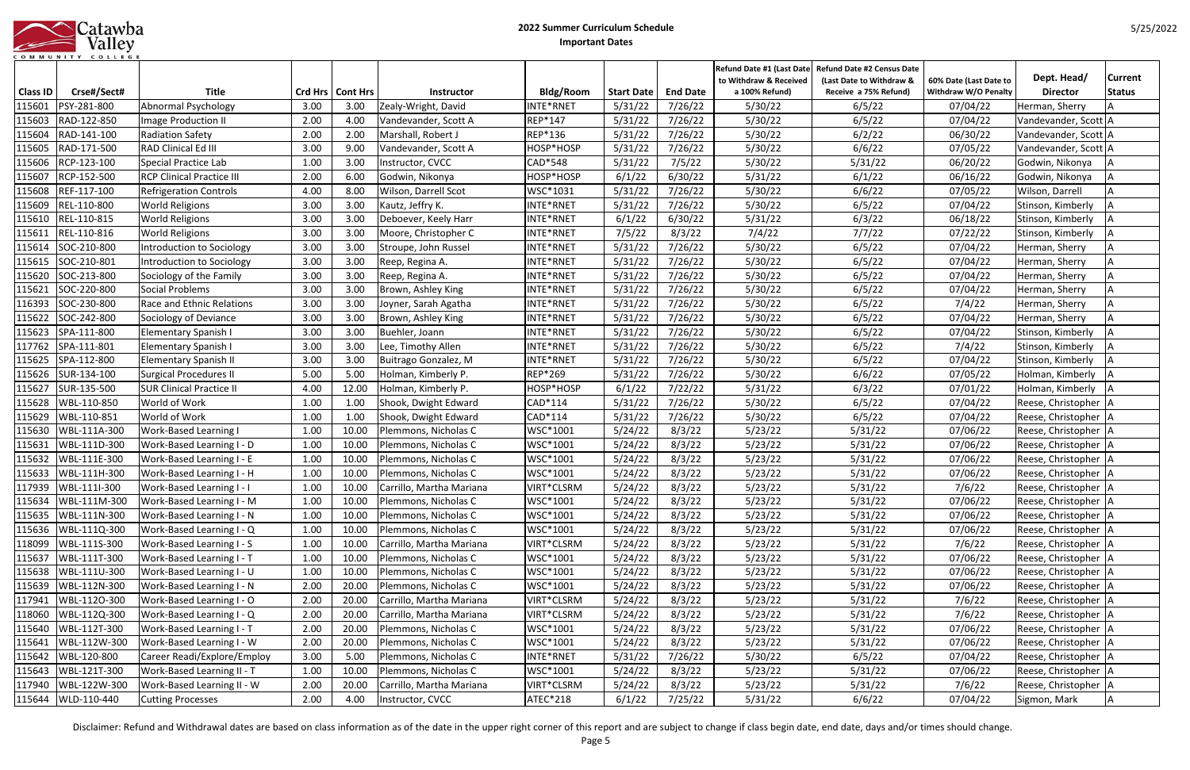|                   |  |  |  |  |               |  |  | Jatawba |
|-------------------|--|--|--|--|---------------|--|--|---------|
|                   |  |  |  |  | <b>Valley</b> |  |  |         |
| COMMUNITY COLLEGE |  |  |  |  |               |  |  |         |

|                 |                            |                                                   |              |                    |                                         |                |                   |                 | Refund Date #1 (Last Date                | <b>Refund Date #2 Census Date</b>                 |                                                       |                                         | Current       |
|-----------------|----------------------------|---------------------------------------------------|--------------|--------------------|-----------------------------------------|----------------|-------------------|-----------------|------------------------------------------|---------------------------------------------------|-------------------------------------------------------|-----------------------------------------|---------------|
| <b>Class ID</b> | Crse#/Sect#                | <b>Title</b>                                      |              | Crd Hrs   Cont Hrs | Instructor                              | Bldg/Room      | <b>Start Date</b> | <b>End Date</b> | to Withdraw & Received<br>a 100% Refund) | (Last Date to Withdraw &<br>Receive a 75% Refund) | 60% Date (Last Date to<br><b>Withdraw W/O Penalty</b> | Dept. Head/<br><b>Director</b>          |               |
| 115601          | PSY-281-800                | Abnormal Psychology                               | 3.00         | 3.00               | Zealy-Wright, David                     | INTE*RNET      | 5/31/22           | 7/26/22         | 5/30/22                                  | 6/5/22                                            | 07/04/22                                              | Herman, Sherry                          | <b>Status</b> |
| 115603          | RAD-122-850                | Image Production II                               | 2.00         | 4.00               | Vandevander, Scott A                    | REP*147        | 5/31/22           | 7/26/22         | 5/30/22                                  | 6/5/22                                            | 07/04/22                                              | Vandevander, Scott A                    |               |
| 115604          | RAD-141-100                | <b>Radiation Safety</b>                           | 2.00         | 2.00               | Marshall, Robert J                      | REP*136        | 5/31/22           | 7/26/22         | 5/30/22                                  | 6/2/22                                            | 06/30/22                                              | Vandevander, Scott A                    |               |
| 115605          | RAD-171-500                | <b>RAD Clinical Ed III</b>                        | 3.00         | 9.00               | Vandevander, Scott A                    | HOSP*HOSP      | 5/31/22           | 7/26/22         | 5/30/22                                  | 6/6/22                                            | 07/05/22                                              |                                         |               |
| 115606          | RCP-123-100                | Special Practice Lab                              | 1.00         | 3.00               | Instructor, CVCC                        | CAD*548        | 5/31/22           | 7/5/22          | 5/30/22                                  | 5/31/22                                           | 06/20/22                                              | Vandevander, Scott A<br>Godwin, Nikonya |               |
| 115607          | RCP-152-500                | <b>RCP Clinical Practice III</b>                  | 2.00         | 6.00               |                                         | HOSP*HOSP      | 6/1/22            | 6/30/22         | 5/31/22                                  | 6/1/22                                            | 06/16/22                                              |                                         |               |
|                 | REF-117-100                |                                                   |              | 8.00               | Godwin, Nikonya<br>Wilson, Darrell Scot | WSC*1031       | 5/31/22           | 7/26/22         |                                          | 6/6/22                                            |                                                       | Godwin, Nikonya                         |               |
| 115608          |                            | <b>Refrigeration Controls</b>                     | 4.00<br>3.00 | 3.00               |                                         | INTE*RNET      |                   |                 | 5/30/22                                  |                                                   | 07/05/22                                              | Wilson, Darrell                         |               |
| 115609          | REL-110-800<br>REL-110-815 | <b>World Religions</b>                            | 3.00         | 3.00               | Kautz, Jeffry K.                        | INTE*RNET      | 5/31/22           | 7/26/22         | 5/30/22                                  | 6/5/22<br>6/3/22                                  | 07/04/22                                              | Stinson, Kimberly                       |               |
| 115610          | REL-110-816                | <b>World Religions</b><br><b>World Religions</b>  |              | 3.00               | Deboever, Keely Harr                    |                | 6/1/22            | 6/30/22         | 5/31/22                                  |                                                   | 06/18/22                                              | Stinson, Kimberly                       |               |
| 115611          |                            |                                                   | 3.00         |                    | Moore, Christopher C                    | INTE*RNET      | 7/5/22            | 8/3/22          | 7/4/22                                   | 7/7/22                                            | 07/22/22                                              | Stinson, Kimberly                       |               |
| 115614          | SOC-210-800<br>SOC-210-801 | Introduction to Sociology                         | 3.00         | 3.00<br>3.00       | Stroupe, John Russel                    | INTE*RNET      | 5/31/22           | 7/26/22         | 5/30/22                                  | 6/5/22                                            | 07/04/22                                              | Herman, Sherry                          |               |
| 115615          |                            | <b>Introduction to Sociology</b>                  | 3.00         |                    | Reep, Regina A.                         | INTE*RNET      | 5/31/22           | 7/26/22         | 5/30/22                                  | 6/5/22                                            | 07/04/22                                              | Herman, Sherry                          |               |
| 115620          | SOC-213-800                | Sociology of the Family                           | 3.00         | 3.00               | Reep, Regina A.                         | INTE*RNET      | 5/31/22           | 7/26/22         | 5/30/22                                  | 6/5/22                                            | 07/04/22                                              | Herman, Sherry                          |               |
| 115621          | SOC-220-800                | <b>Social Problems</b>                            | 3.00         | 3.00               | Brown, Ashley King                      | INTE*RNET      | 5/31/22           | 7/26/22         | 5/30/22                                  | 6/5/22                                            | 07/04/22                                              | Herman, Sherry                          |               |
| 116393          | SOC-230-800                | Race and Ethnic Relations                         | 3.00         | 3.00               | Joyner, Sarah Agatha                    | INTE*RNET      | 5/31/22           | 7/26/22         | 5/30/22                                  | 6/5/22                                            | 7/4/22                                                | Herman, Sherry                          |               |
| 115622          | SOC-242-800                | Sociology of Deviance                             | 3.00         | 3.00               | Brown, Ashley King                      | INTE*RNET      | 5/31/22           | 7/26/22         | 5/30/22                                  | 6/5/22                                            | 07/04/22                                              | Herman, Sherry                          |               |
| 115623          | SPA-111-800                | Elementary Spanish I                              | 3.00         | 3.00               | Buehler, Joann                          | INTE*RNET      | 5/31/22           | 7/26/22         | 5/30/22                                  | 6/5/22                                            | 07/04/22                                              | Stinson, Kimberly                       |               |
| 117762          | SPA-111-801                | Elementary Spanish I                              | 3.00         | 3.00               | Lee, Timothy Allen                      | INTE*RNET      | 5/31/22           | 7/26/22         | 5/30/22                                  | 6/5/22                                            | 7/4/22                                                | Stinson, Kimberly                       |               |
| 115625          | SPA-112-800                | <b>Elementary Spanish II</b>                      | 3.00         | 3.00               | Buitrago Gonzalez, M                    | INTE*RNET      | 5/31/22           | 7/26/22         | 5/30/22                                  | 6/5/22                                            | 07/04/22                                              | Stinson, Kimberly                       |               |
| 115626          | SUR-134-100                | Surgical Procedures II                            | 5.00         | 5.00               | Holman, Kimberly P.                     | <b>REP*269</b> | 5/31/22           | 7/26/22         | 5/30/22                                  | 6/6/22                                            | 07/05/22                                              | Holman, Kimberly                        |               |
| 115627          | SUR-135-500                | <b>SUR Clinical Practice II</b>                   | 4.00         | 12.00              | Holman, Kimberly P.                     | HOSP*HOSP      | 6/1/22            | 7/22/22         | 5/31/22                                  | 6/3/22                                            | 07/01/22                                              | Holman, Kimberly                        |               |
| 115628          | WBL-110-850                | World of Work                                     | 1.00         | 1.00               | Shook, Dwight Edward                    | CAD*114        | 5/31/22           | 7/26/22         | 5/30/22                                  | 6/5/22                                            | 07/04/22                                              | Reese, Christopher   A                  |               |
| 115629          | WBL-110-851                | World of Work                                     | 1.00         | 1.00               | Shook, Dwight Edward                    | CAD*114        | 5/31/22           | 7/26/22         | 5/30/22                                  | 6/5/22                                            | 07/04/22                                              | Reese, Christopher   A                  |               |
| 115630          | WBL-111A-300               | Work-Based Learning I                             | 1.00         | 10.00              | Plemmons, Nicholas C                    | WSC*1001       | 5/24/22           | 8/3/22          | 5/23/22                                  | 5/31/22                                           | 07/06/22                                              | Reese, Christopher   A                  |               |
| 115631          | WBL-111D-300               | Work-Based Learning I - D                         | 1.00         | 10.00              | Plemmons, Nicholas C                    | WSC*1001       | 5/24/22           | 8/3/22          | 5/23/22                                  | 5/31/22                                           | 07/06/22                                              | Reese, Christopher   A                  |               |
| 115632          | WBL-111E-300               | Work-Based Learning I - E                         | 1.00         | 10.00              | Plemmons, Nicholas C                    | WSC*1001       | 5/24/22           | 8/3/22          | 5/23/22                                  | 5/31/22                                           | 07/06/22                                              | Reese, Christopher   A                  |               |
| 115633          | WBL-111H-300               | Work-Based Learning I - H                         | 1.00         | 10.00              | Plemmons, Nicholas C                    | WSC*1001       | 5/24/22           | 8/3/22          | 5/23/22                                  | 5/31/22                                           | 07/06/22                                              | Reese, Christopher   A                  |               |
| 117939          | WBL-111I-300               | Work-Based Learning I - I                         | 1.00         | 10.00              | Carrillo, Martha Mariana                | VIRT*CLSRM     | 5/24/22           | 8/3/22          | 5/23/22                                  | 5/31/22                                           | 7/6/22                                                | Reese, Christopher                      |               |
|                 |                            | 115634   WBL-111M-300   Work-Based Learning I - M | 1.00         | 10.00              | Plemmons, Nicholas C                    | WSC*1001       | 5/24/22           | 8/3/22          | 5/23/22                                  | 5/31/22                                           | 07/06/22                                              | Reese, Christopher   A                  |               |
| 115635          | WBL-111N-300               | Work-Based Learning I - N                         | 1.00         | 10.00              | Plemmons, Nicholas C                    | WSC*1001       | 5/24/22           | 8/3/22          | 5/23/22                                  | 5/31/22                                           | 07/06/22                                              | Reese, Christopher   A                  |               |
| 115636          | WBL-111Q-300               | Work-Based Learning I - Q                         | 1.00         | 10.00              | Plemmons, Nicholas C                    | WSC*1001       | 5/24/22           | 8/3/22          | 5/23/22                                  | 5/31/22                                           | 07/06/22                                              | Reese, Christopher   A                  |               |
| 118099          | WBL-111S-300               | Work-Based Learning I - S                         | 1.00         | 10.00              | Carrillo, Martha Mariana                | VIRT*CLSRM     | 5/24/22           | 8/3/22          | 5/23/22                                  | 5/31/22                                           | 7/6/22                                                | Reese, Christopher   A                  |               |
| 115637          | WBL-111T-300               | <b>Work-Based Learning I - T</b>                  | 1.00         | 10.00              | Plemmons, Nicholas C                    | WSC*1001       | 5/24/22           | 8/3/22          | 5/23/22                                  | 5/31/22                                           | 07/06/22                                              | Reese, Christopher   A                  |               |
| 115638          | WBL-111U-300               | Work-Based Learning I - U                         | 1.00         | 10.00              | Plemmons, Nicholas C                    | WSC*1001       | 5/24/22           | 8/3/22          | 5/23/22                                  | 5/31/22                                           | 07/06/22                                              | Reese, Christopher   A                  |               |
| 115639          | WBL-112N-300               | <b>Work-Based Learning I - N</b>                  | 2.00         | 20.00              | Plemmons, Nicholas C                    | WSC*1001       | 5/24/22           | 8/3/22          | 5/23/22                                  | 5/31/22                                           | 07/06/22                                              | Reese, Christopher   A                  |               |
| 117941          | WBL-112O-300               | Work-Based Learning I - O                         | 2.00         | 20.00              | Carrillo, Martha Mariana                | VIRT*CLSRM     | 5/24/22           | 8/3/22          | 5/23/22                                  | 5/31/22                                           | 7/6/22                                                | Reese, Christopher   A                  |               |
| 118060          | WBL-112Q-300               | Work-Based Learning I - Q                         | 2.00         | 20.00              | Carrillo, Martha Mariana                | VIRT*CLSRM     | 5/24/22           | 8/3/22          | 5/23/22                                  | 5/31/22                                           | 7/6/22                                                | Reese, Christopher   A                  |               |
| 115640          | WBL-112T-300               | Work-Based Learning I - T                         | 2.00         | 20.00              | Plemmons, Nicholas C                    | WSC*1001       | 5/24/22           | 8/3/22          | 5/23/22                                  | 5/31/22                                           | 07/06/22                                              | Reese, Christopher   A                  |               |
| 115641          | WBL-112W-300               | Work-Based Learning I - W                         | 2.00         | 20.00              | Plemmons, Nicholas C                    | WSC*1001       | 5/24/22           | 8/3/22          | 5/23/22                                  | 5/31/22                                           | 07/06/22                                              | Reese, Christopher   A                  |               |
| 115642          | WBL-120-800                | Career Readi/Explore/Employ                       | 3.00         | 5.00               | Plemmons, Nicholas C                    | INTE*RNET      | 5/31/22           | 7/26/22         | 5/30/22                                  | 6/5/22                                            | 07/04/22                                              | Reese, Christopher   A                  |               |
| 115643          | WBL-121T-300               | Work-Based Learning II - T                        | 1.00         | 10.00              | Plemmons, Nicholas C                    | WSC*1001       | 5/24/22           | 8/3/22          | 5/23/22                                  | 5/31/22                                           | 07/06/22                                              | Reese, Christopher   A                  |               |
| 117940          | WBL-122W-300               | Work-Based Learning II - W                        | 2.00         | 20.00              | Carrillo, Martha Mariana                | VIRT*CLSRM     | 5/24/22           | 8/3/22          | 5/23/22                                  | 5/31/22                                           | 7/6/22                                                | Reese, Christopher   A                  |               |
|                 | 115644 WLD-110-440         | <b>Cutting Processes</b>                          | 2.00         | 4.00               | Instructor, CVCC                        | ATEC*218       | 6/1/22            | 7/25/22         | 5/31/22                                  | 6/6/22                                            | 07/04/22                                              | Sigmon, Mark                            |               |